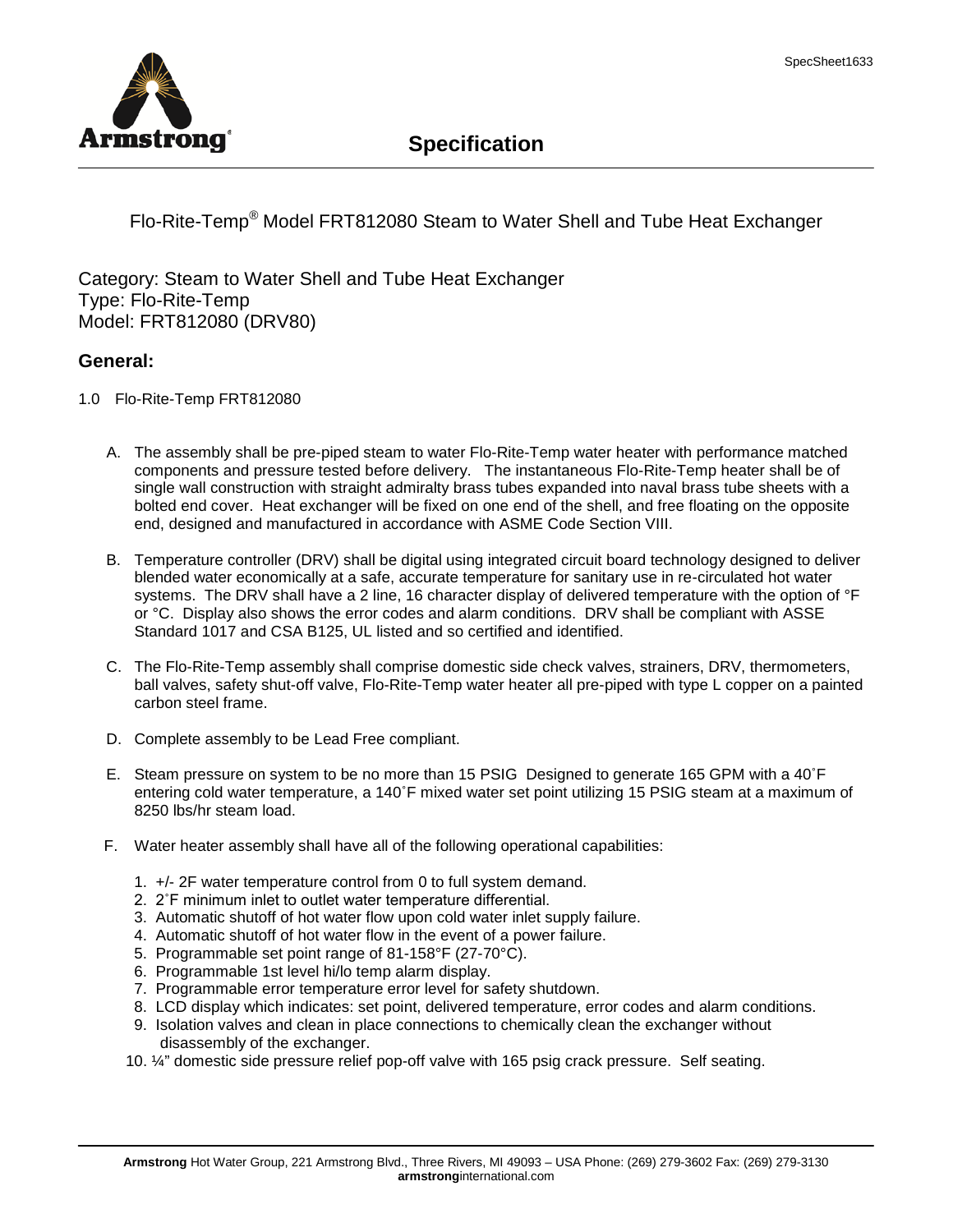

## **Specification**

Flo-Rite-Temp® Model FRT812080 Steam to Water Shell and Tube Heat Exchanger

Category: Steam to Water Shell and Tube Heat Exchanger Type: Flo-Rite-Temp Model: FRT812080 (DRV80)

## **General:**

- 1.0 Flo-Rite-Temp FRT812080
	- A. The assembly shall be pre-piped steam to water Flo-Rite-Temp water heater with performance matched components and pressure tested before delivery. The instantaneous Flo-Rite-Temp heater shall be of single wall construction with straight admiralty brass tubes expanded into naval brass tube sheets with a bolted end cover. Heat exchanger will be fixed on one end of the shell, and free floating on the opposite end, designed and manufactured in accordance with ASME Code Section VIII.
	- B. Temperature controller (DRV) shall be digital using integrated circuit board technology designed to deliver blended water economically at a safe, accurate temperature for sanitary use in re-circulated hot water systems. The DRV shall have a 2 line, 16 character display of delivered temperature with the option of <sup>o</sup>F or °C. Display also shows the error codes and alarm conditions. DRV shall be compliant with ASSE Standard 1017 and CSA B125, UL listed and so certified and identified.
	- C. The Flo-Rite-Temp assembly shall comprise domestic side check valves, strainers, DRV, thermometers, ball valves, safety shut-off valve, Flo-Rite-Temp water heater all pre-piped with type L copper on a painted carbon steel frame.
	- D. Complete assembly to be Lead Free compliant.
	- E. Steam pressure on system to be no more than 15 PSIG Designed to generate 165 GPM with a 40˚F entering cold water temperature, a 140˚F mixed water set point utilizing 15 PSIG steam at a maximum of 8250 lbs/hr steam load.
	- F. Water heater assembly shall have all of the following operational capabilities:
		- 1. +/- 2F water temperature control from 0 to full system demand.
		- 2. 2˚F minimum inlet to outlet water temperature differential.
		- 3. Automatic shutoff of hot water flow upon cold water inlet supply failure.
		- 4. Automatic shutoff of hot water flow in the event of a power failure.
		- 5. Programmable set point range of 81-158°F (27-70°C).
		- 6. Programmable 1st level hi/lo temp alarm display.
		- 7. Programmable error temperature error level for safety shutdown.
		- 8. LCD display which indicates: set point, delivered temperature, error codes and alarm conditions.
		- 9. Isolation valves and clean in place connections to chemically clean the exchanger without disassembly of the exchanger.
		- 10. ¼" domestic side pressure relief pop-off valve with 165 psig crack pressure. Self seating.